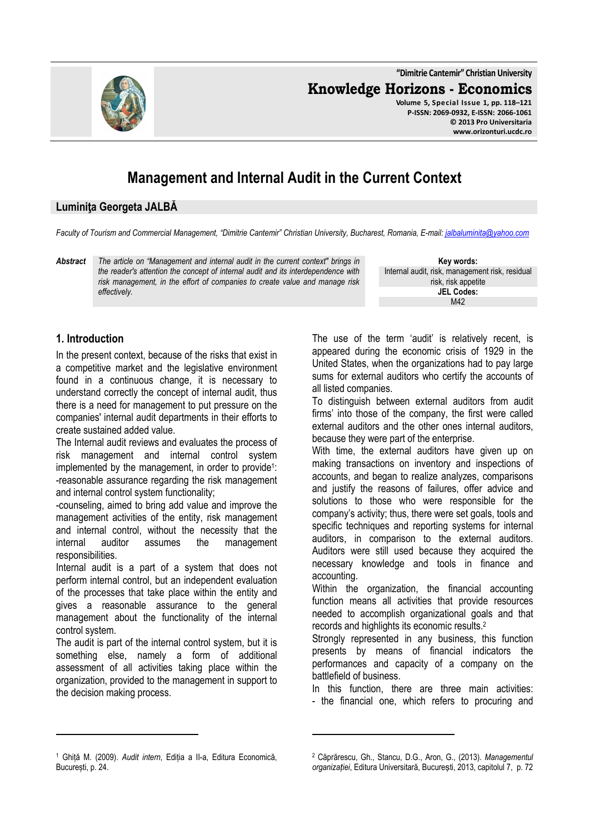**"Dimitrie Cantemir" Christian University Knowledge Horizons - Economics Volume 5, Special Issue 1, pp. 118–121 P-ISSN: 2069-0932, E-ISSN: 2066-1061 © 2013 Pro Universitaria www.orizonturi.ucdc.ro**

# **Management and Internal Audit in the Current Context**

#### **Luminiţa Georgeta JALBĂ**

*Faculty of Tourism and Commercial Management, "Dimitrie Cantemir" Christian University, Bucharest, Romania, E-mail: jalbaluminita@yahoo.com*

*Abstract The article on "Management and internal audit in the current context" brings in the reader's attention the concept of internal audit and its interdependence with risk management, in the effort of companies to create value and manage risk effectively.* 

**Key words:** Internal audit, risk, management risk, residual risk, risk appetite **JEL Codes:**  $MA2$ 

### **1. Introduction**

l

In the present context, because of the risks that exist in a competitive market and the legislative environment found in a continuous change, it is necessary to understand correctly the concept of internal audit, thus there is a need for management to put pressure on the companies' internal audit departments in their efforts to create sustained added value.

The Internal audit reviews and evaluates the process of risk management and internal control system implemented by the management, in order to provide<sup>1</sup>: -reasonable assurance regarding the risk management and internal control system functionality;

-counseling, aimed to bring add value and improve the management activities of the entity, risk management and internal control, without the necessity that the internal auditor assumes the management responsibilities.

Internal audit is a part of a system that does not perform internal control, but an independent evaluation of the processes that take place within the entity and gives a reasonable assurance to the general management about the functionality of the internal control system.

The audit is part of the internal control system, but it is something else, namely a form of additional assessment of all activities taking place within the organization, provided to the management in support to the decision making process.

The use of the term 'audit' is relatively recent, is appeared during the economic crisis of 1929 in the United States, when the organizations had to pay large sums for external auditors who certify the accounts of all listed companies.

To distinguish between external auditors from audit firms' into those of the company, the first were called external auditors and the other ones internal auditors, because they were part of the enterprise.

With time, the external auditors have given up on making transactions on inventory and inspections of accounts, and began to realize analyzes, comparisons and justify the reasons of failures, offer advice and solutions to those who were responsible for the company's activity; thus, there were set goals, tools and specific techniques and reporting systems for internal auditors, in comparison to the external auditors. Auditors were still used because they acquired the necessary knowledge and tools in finance and accounting.

Within the organization, the financial accounting function means all activities that provide resources needed to accomplish organizational goals and that records and highlights its economic results.<sup>2</sup>

Strongly represented in any business, this function presents by means of financial indicators the performances and capacity of a company on the battlefield of business.

In this function, there are three main activities: - the financial one, which refers to procuring and

l



<sup>1</sup> Ghiță M. (2009). *Audit intern*, Ediția a II-a, Editura Economică, București, p. 24.

<sup>2</sup> Căprărescu, Gh., Stancu, D.G., Aron, G., (2013). *Managementul organizaṭiei*, Editura Universitară, Bucureṣti, 2013, capitolul 7, p. 72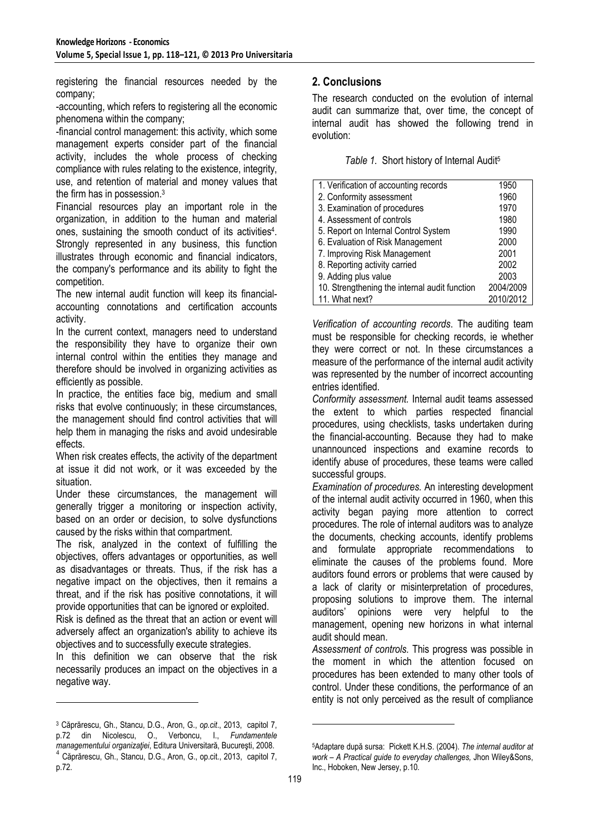registering the financial resources needed by the company;

-accounting, which refers to registering all the economic phenomena within the company;

-financial control management: this activity, which some management experts consider part of the financial activity, includes the whole process of checking compliance with rules relating to the existence, integrity, use, and retention of material and money values that the firm has in possession.<sup>3</sup>

Financial resources play an important role in the organization, in addition to the human and material ones, sustaining the smooth conduct of its activities<sup>4</sup>. Strongly represented in any business, this function illustrates through economic and financial indicators, the company's performance and its ability to fight the competition.

The new internal audit function will keep its financialaccounting connotations and certification accounts activity.

In the current context, managers need to understand the responsibility they have to organize their own internal control within the entities they manage and therefore should be involved in organizing activities as efficiently as possible.

In practice, the entities face big, medium and small risks that evolve continuously; in these circumstances, the management should find control activities that will help them in managing the risks and avoid undesirable effects.

When risk creates effects, the activity of the department at issue it did not work, or it was exceeded by the situation.

Under these circumstances, the management will generally trigger a monitoring or inspection activity, based on an order or decision, to solve dysfunctions caused by the risks within that compartment.

The risk, analyzed in the context of fulfilling the objectives, offers advantages or opportunities, as well as disadvantages or threats. Thus, if the risk has a negative impact on the objectives, then it remains a threat, and if the risk has positive connotations, it will provide opportunities that can be ignored or exploited.

Risk is defined as the threat that an action or event will adversely affect an organization's ability to achieve its objectives and to successfully execute strategies.

In this definition we can observe that the risk necessarily produces an impact on the objectives in a negative way.

l

## **2. Conclusions**

The research conducted on the evolution of internal audit can summarize that, over time, the concept of internal audit has showed the following trend in evolution:

Table 1. Short history of Internal Audit<sup>5</sup>

| 1. Verification of accounting records         | 1950      |
|-----------------------------------------------|-----------|
| 2. Conformity assessment                      | 1960      |
| 3. Examination of procedures                  | 1970      |
| 4. Assessment of controls                     | 1980      |
| 5. Report on Internal Control System          | 1990      |
| 6. Evaluation of Risk Management              | 2000      |
| 7. Improving Risk Management                  | 2001      |
| 8. Reporting activity carried                 | 2002      |
| 9. Adding plus value                          | 2003      |
| 10. Strengthening the internal audit function | 2004/2009 |
| 11. What next?                                | 2010/2012 |

*Verification of accounting records*. The auditing team must be responsible for checking records, ie whether they were correct or not. In these circumstances a measure of the performance of the internal audit activity was represented by the number of incorrect accounting entries identified.

*Conformity assessment.* Internal audit teams assessed the extent to which parties respected financial procedures, using checklists, tasks undertaken during the financial-accounting. Because they had to make unannounced inspections and examine records to identify abuse of procedures, these teams were called successful groups.

*Examination of procedures.* An interesting development of the internal audit activity occurred in 1960, when this activity began paying more attention to correct procedures. The role of internal auditors was to analyze the documents, checking accounts, identify problems and formulate appropriate recommendations to eliminate the causes of the problems found. More auditors found errors or problems that were caused by a lack of clarity or misinterpretation of procedures, proposing solutions to improve them. The internal auditors' opinions were very helpful to the management, opening new horizons in what internal audit should mean.

*Assessment of controls.* This progress was possible in the moment in which the attention focused on procedures has been extended to many other tools of control. Under these conditions, the performance of an entity is not only perceived as the result of compliance

 $\overline{a}$ 

<sup>3</sup> Căprărescu, Gh., Stancu, D.G., Aron, G., *op.cit*., 2013, capitol 7, p.72 din Nicolescu, O., Verboncu, I., *Fundamentele managementului organizaţiei*, Editura Universitară, Bucureşti, 2008. 4 Căprărescu, Gh., Stancu, D.G., Aron, G., op.cit., 2013, capitol 7, p.72.

<sup>5</sup>Adaptare după sursa: Pickett K.H.S. (2004). *The internal auditor at work – A Practical guide to everyday challenges,* Jhon Wiley&Sons, Inc., Hoboken, New Jersey, p.10*.*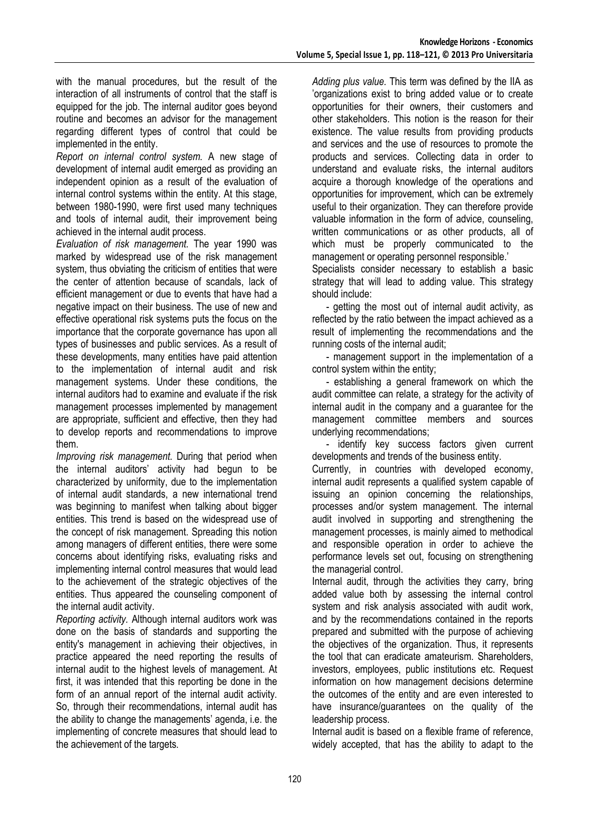with the manual procedures, but the result of the interaction of all instruments of control that the staff is equipped for the job. The internal auditor goes beyond routine and becomes an advisor for the management regarding different types of control that could be implemented in the entity.

*Report on internal control system.* A new stage of development of internal audit emerged as providing an independent opinion as a result of the evaluation of internal control systems within the entity. At this stage, between 1980-1990, were first used many techniques and tools of internal audit, their improvement being achieved in the internal audit process.

*Evaluation of risk management.* The year 1990 was marked by widespread use of the risk management system, thus obviating the criticism of entities that were the center of attention because of scandals, lack of efficient management or due to events that have had a negative impact on their business. The use of new and effective operational risk systems puts the focus on the importance that the corporate governance has upon all types of businesses and public services. As a result of these developments, many entities have paid attention to the implementation of internal audit and risk management systems. Under these conditions, the internal auditors had to examine and evaluate if the risk management processes implemented by management are appropriate, sufficient and effective, then they had to develop reports and recommendations to improve them.

*Improving risk management.* During that period when the internal auditors' activity had begun to be characterized by uniformity, due to the implementation of internal audit standards, a new international trend was beginning to manifest when talking about bigger entities. This trend is based on the widespread use of the concept of risk management. Spreading this notion among managers of different entities, there were some concerns about identifying risks, evaluating risks and implementing internal control measures that would lead to the achievement of the strategic objectives of the entities. Thus appeared the counseling component of the internal audit activity.

*Reporting activity.* Although internal auditors work was done on the basis of standards and supporting the entity's management in achieving their objectives, in practice appeared the need reporting the results of internal audit to the highest levels of management. At first, it was intended that this reporting be done in the form of an annual report of the internal audit activity. So, through their recommendations, internal audit has the ability to change the managements' agenda, i.e. the implementing of concrete measures that should lead to the achievement of the targets.

*Adding plus value.* This term was defined by the IIA as 'organizations exist to bring added value or to create opportunities for their owners, their customers and other stakeholders. This notion is the reason for their existence. The value results from providing products and services and the use of resources to promote the products and services. Collecting data in order to understand and evaluate risks, the internal auditors acquire a thorough knowledge of the operations and opportunities for improvement, which can be extremely useful to their organization. They can therefore provide valuable information in the form of advice, counseling, written communications or as other products, all of which must be properly communicated to the management or operating personnel responsible.' Specialists consider necessary to establish a basic

strategy that will lead to adding value. This strategy should include:

- getting the most out of internal audit activity, as reflected by the ratio between the impact achieved as a result of implementing the recommendations and the running costs of the internal audit;

- management support in the implementation of a control system within the entity;

- establishing a general framework on which the audit committee can relate, a strategy for the activity of internal audit in the company and a guarantee for the management committee members and sources underlying recommendations;

- identify key success factors given current developments and trends of the business entity.

Currently, in countries with developed economy, internal audit represents a qualified system capable of issuing an opinion concerning the relationships, processes and/or system management. The internal audit involved in supporting and strengthening the management processes, is mainly aimed to methodical and responsible operation in order to achieve the performance levels set out, focusing on strengthening the managerial control.

Internal audit, through the activities they carry, bring added value both by assessing the internal control system and risk analysis associated with audit work, and by the recommendations contained in the reports prepared and submitted with the purpose of achieving the objectives of the organization. Thus, it represents the tool that can eradicate amateurism. Shareholders, investors, employees, public institutions etc. Request information on how management decisions determine the outcomes of the entity and are even interested to have insurance/guarantees on the quality of the leadership process.

Internal audit is based on a flexible frame of reference, widely accepted, that has the ability to adapt to the